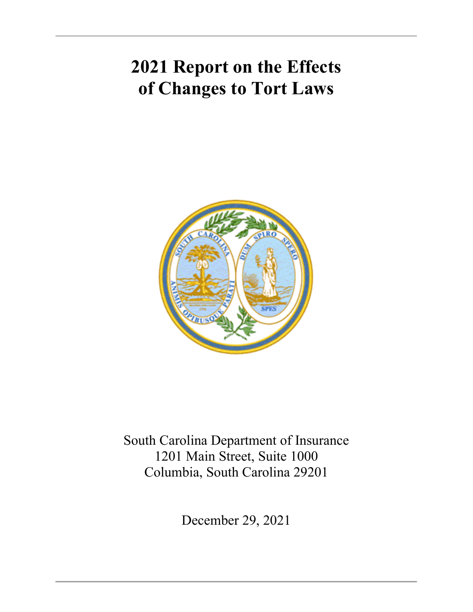# **2021 Report on the Effects of Changes to Tort Laws**



South Carolina Department of Insurance 1201 Main Street, Suite 1000 Columbia, South Carolina 29201

December 29, 2021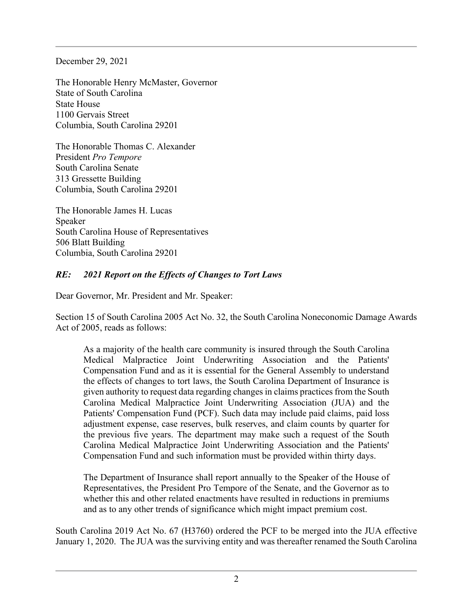December 29, 2021

The Honorable Henry McMaster, Governor State of South Carolina State House 1100 Gervais Street Columbia, South Carolina 29201

The Honorable Thomas C. Alexander President *Pro Tempore* South Carolina Senate 313 Gressette Building Columbia, South Carolina 29201

The Honorable James H. Lucas Speaker South Carolina House of Representatives 506 Blatt Building Columbia, South Carolina 29201

#### *RE: 2021 Report on the Effects of Changes to Tort Laws*

Dear Governor, Mr. President and Mr. Speaker:

Section 15 of South Carolina 2005 Act No. 32, the South Carolina Noneconomic Damage Awards Act of 2005, reads as follows:

As a majority of the health care community is insured through the South Carolina Medical Malpractice Joint Underwriting Association and the Patients' Compensation Fund and as it is essential for the General Assembly to understand the effects of changes to tort laws, the South Carolina Department of Insurance is given authority to request data regarding changes in claims practices from the South Carolina Medical Malpractice Joint Underwriting Association (JUA) and the Patients' Compensation Fund (PCF). Such data may include paid claims, paid loss adjustment expense, case reserves, bulk reserves, and claim counts by quarter for the previous five years. The department may make such a request of the South Carolina Medical Malpractice Joint Underwriting Association and the Patients' Compensation Fund and such information must be provided within thirty days.

The Department of Insurance shall report annually to the Speaker of the House of Representatives, the President Pro Tempore of the Senate, and the Governor as to whether this and other related enactments have resulted in reductions in premiums and as to any other trends of significance which might impact premium cost.

South Carolina 2019 Act No. 67 (H3760) ordered the PCF to be merged into the JUA effective January 1, 2020. The JUA was the surviving entity and was thereafter renamed the South Carolina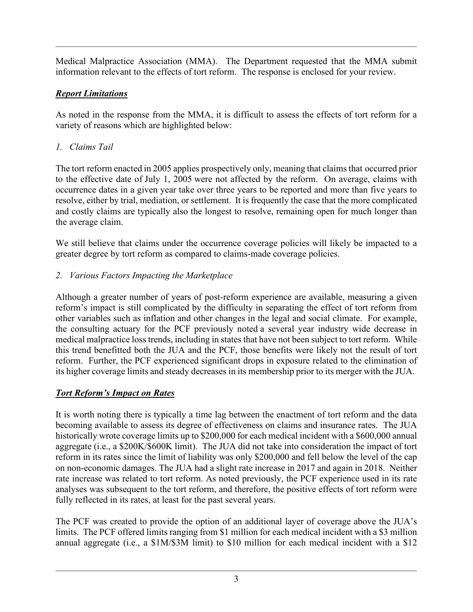Medical Malpractice Association (MMA). The Department requested that the MMA submit information relevant to the effects of tort reform. The response is enclosed for your review.

# *Report Limitations*

As noted in the response from the MMA, it is difficult to assess the effects of tort reform for a variety of reasons which are highlighted below:

*1. Claims Tail*

The tort reform enacted in 2005 applies prospectively only, meaning that claims that occurred prior to the effective date of July 1, 2005 were not affected by the reform. On average, claims with occurrence dates in a given year take over three years to be reported and more than five years to resolve, either by trial, mediation, or settlement. It is frequently the case that the more complicated and costly claims are typically also the longest to resolve, remaining open for much longer than the average claim.

We still believe that claims under the occurrence coverage policies will likely be impacted to a greater degree by tort reform as compared to claims-made coverage policies.

# *2. Various Factors Impacting the Marketplace*

Although a greater number of years of post-reform experience are available, measuring a given reform's impact is still complicated by the difficulty in separating the effect of tort reform from other variables such as inflation and other changes in the legal and social climate. For example, the consulting actuary for the PCF previously noted a several year industry wide decrease in medical malpractice loss trends, including in states that have not been subject to tort reform. While this trend benefitted both the JUA and the PCF, those benefits were likely not the result of tort reform. Further, the PCF experienced significant drops in exposure related to the elimination of its higher coverage limits and steady decreases in its membership prior to its merger with the JUA.

# *Tort Reform's Impact on Rates*

It is worth noting there is typically a time lag between the enactment of tort reform and the data becoming available to assess its degree of effectiveness on claims and insurance rates. The JUA historically wrote coverage limits up to \$200,000 for each medical incident with a \$600,000 annual aggregate (i.e., a \$200K/\$600K limit). The JUA did not take into consideration the impact of tort reform in its rates since the limit of liability was only \$200,000 and fell below the level of the cap on non-economic damages. The JUA had a slight rate increase in 2017 and again in 2018. Neither rate increase was related to tort reform. As noted previously, the PCF experience used in its rate analyses was subsequent to the tort reform, and therefore, the positive effects of tort reform were fully reflected in its rates, at least for the past several years.

The PCF was created to provide the option of an additional layer of coverage above the JUA's limits. The PCF offered limits ranging from \$1 million for each medical incident with a \$3 million annual aggregate (i.e., a \$1M/\$3M limit) to \$10 million for each medical incident with a \$12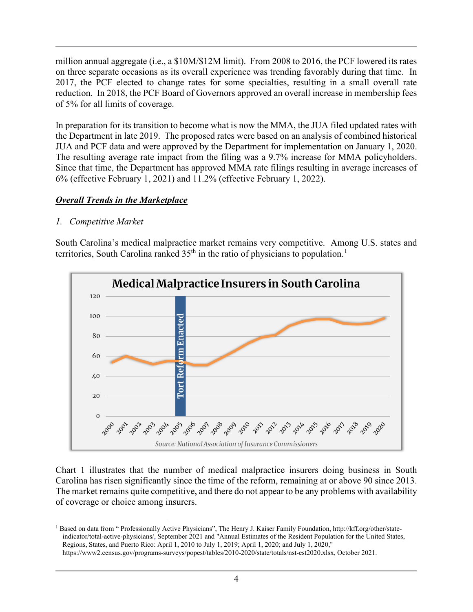million annual aggregate (i.e., a \$10M/\$12M limit). From 2008 to 2016, the PCF lowered its rates on three separate occasions as its overall experience was trending favorably during that time. In 2017, the PCF elected to change rates for some specialties, resulting in a small overall rate reduction. In 2018, the PCF Board of Governors approved an overall increase in membership fees of 5% for all limits of coverage.

In preparation for its transition to become what is now the MMA, the JUA filed updated rates with the Department in late 2019. The proposed rates were based on an analysis of combined historical JUA and PCF data and were approved by the Department for implementation on January 1, 2020. The resulting average rate impact from the filing was a 9.7% increase for MMA policyholders. Since that time, the Department has approved MMA rate filings resulting in average increases of 6% (effective February 1, 2021) and 11.2% (effective February 1, 2022).

### *Overall Trends in the Marketplace*

### *1. Competitive Market*

South Carolina's medical malpractice market remains very competitive. Among U.S. states and territories, South Carolina ranked  $35<sup>th</sup>$  in the ratio of physicians to population.<sup>[1](#page-3-0)</sup>



Chart 1 illustrates that the number of medical malpractice insurers doing business in South Carolina has risen significantly since the time of the reform, remaining at or above 90 since 2013. The market remains quite competitive, and there do not appear to be any problems with availability of coverage or choice among insurers.

<span id="page-3-0"></span><sup>&</sup>lt;sup>1</sup> Based on data from " Professionally Active Physicians", The Henry J. Kaiser Family Foundation, http://kff.org/other/stateindicator/total-active-physicians/, September 2021 and "Annual Estimates of the Resident Population for the United States, Regions, States, and Puerto Rico: April 1, 2010 to July 1, 2019; April 1, 2020; and July 1, 2020," https://www2.census.gov/programs-surveys/popest/tables/2010-2020/state/totals/nst-est2020.xlsx, October 2021.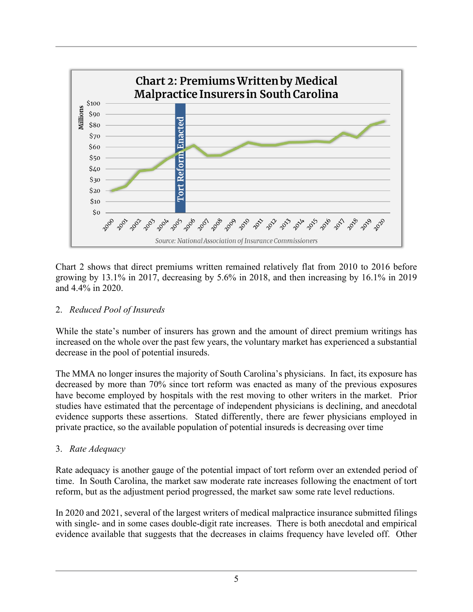

Chart 2 shows that direct premiums written remained relatively flat from 2010 to 2016 before growing by 13.1% in 2017, decreasing by 5.6% in 2018, and then increasing by 16.1% in 2019 and 4.4% in 2020.

#### 2. *Reduced Pool of Insureds*

While the state's number of insurers has grown and the amount of direct premium writings has increased on the whole over the past few years, the voluntary market has experienced a substantial decrease in the pool of potential insureds.

The MMA no longer insures the majority of South Carolina's physicians. In fact, its exposure has decreased by more than 70% since tort reform was enacted as many of the previous exposures have become employed by hospitals with the rest moving to other writers in the market. Prior studies have estimated that the percentage of independent physicians is declining, and anecdotal evidence supports these assertions. Stated differently, there are fewer physicians employed in private practice, so the available population of potential insureds is decreasing over time

# 3. *Rate Adequacy*

Rate adequacy is another gauge of the potential impact of tort reform over an extended period of time. In South Carolina, the market saw moderate rate increases following the enactment of tort reform, but as the adjustment period progressed, the market saw some rate level reductions.

In 2020 and 2021, several of the largest writers of medical malpractice insurance submitted filings with single- and in some cases double-digit rate increases. There is both anecdotal and empirical evidence available that suggests that the decreases in claims frequency have leveled off. Other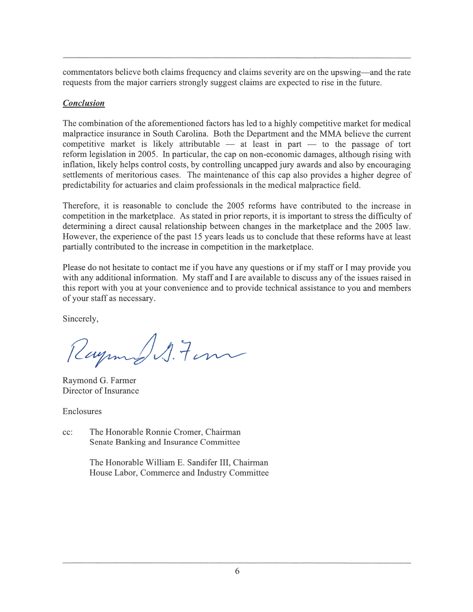commentators believe both claims frequency and claims severity are on the upswing—and the rate requests from the major carriers strongly suggest claims are expected to rise in the future.

#### **Conclusion**

The combination of the aforementioned factors has led to a highly competitive market for medical malpractice insurance in South Carolina. Both the Department and the MMA believe the current competitive market is likely attributable  $-$  at least in part  $-$  to the passage of tort reform legislation in 2005. In particular, the cap on non-economic damages, although rising with inflation, likely helps control costs, by controlling uncapped jury awards and also by encouraging settlements of meritorious cases. The maintenance of this cap also provides a higher degree of predictability for actuaries and claim professionals in the medical malpractice field.

Therefore, it is reasonable to conclude the 2005 reforms have contributed to the increase in competition in the marketplace. As stated in prior reports, it is important to stress the difficulty of determining a direct causal relationship between changes in the marketplace and the 2005 law. However, the experience of the past 15 years leads us to conclude that these reforms have at least partially contributed to the increase in competition in the marketplace.

Please do not hesitate to contact me if you have any questions or if my staff or I may provide you with any additional information. My staff and I are available to discuss any of the issues raised in this report with you at your convenience and to provide technical assistance to you and members of your staff as necessary.

Sincerely,

Raymond S. Form

Raymond G. Farmer Director of Insurance

Enclosures

The Honorable Ronnie Cromer, Chairman cc: Senate Banking and Insurance Committee

> The Honorable William E. Sandifer III, Chairman House Labor, Commerce and Industry Committee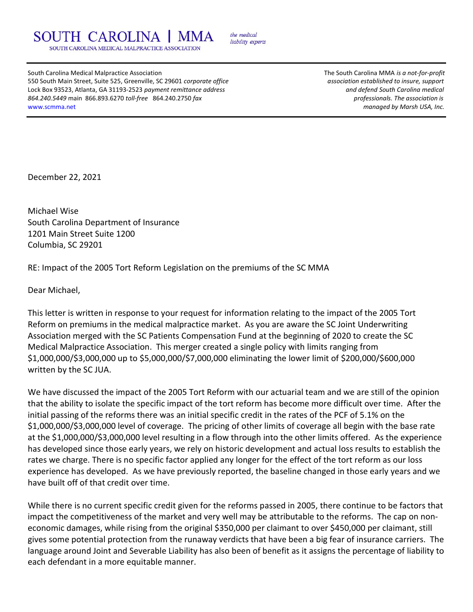SOUTH CAROLINA SOUTH CAROLINA MEDICAL MALPRACTICE ASSOCIATION

the medical liability experts

South Carolina Medical Malpractice Association The South Carolina MMA is a not-for-profit 550 South Main Street, Suite 525, Greenville, SC 29601 corporate office and association established to insure, support Lock Box 93523, Atlanta, GA 31193-2523 payment remittance address and the medical control of the South Carolina medical 864.240.5449 main 866.893.6270 toll-free 864.240.2750 fax professionals. The association is www.scmma.net managed by Marsh USA, Inc.

December 22, 2021

Michael Wise South Carolina Department of Insurance 1201 Main Street Suite 1200 Columbia, SC 29201

RE: Impact of the 2005 Tort Reform Legislation on the premiums of the SC MMA

Dear Michael,

This letter is written in response to your request for information relating to the impact of the 2005 Tort Reform on premiums in the medical malpractice market. As you are aware the SC Joint Underwriting Association merged with the SC Patients Compensation Fund at the beginning of 2020 to create the SC Medical Malpractice Association. This merger created a single policy with limits ranging from \$1,000,000/\$3,000,000 up to \$5,000,000/\$7,000,000 eliminating the lower limit of \$200,000/\$600,000 written by the SC JUA.

We have discussed the impact of the 2005 Tort Reform with our actuarial team and we are still of the opinion that the ability to isolate the specific impact of the tort reform has become more difficult over time. After the initial passing of the reforms there was an initial specific credit in the rates of the PCF of 5.1% on the \$1,000,000/\$3,000,000 level of coverage. The pricing of other limits of coverage all begin with the base rate at the \$1,000,000/\$3,000,000 level resulting in a flow through into the other limits offered. As the experience has developed since those early years, we rely on historic development and actual loss results to establish the rates we charge. There is no specific factor applied any longer for the effect of the tort reform as our loss experience has developed. As we have previously reported, the baseline changed in those early years and we have built off of that credit over time.

While there is no current specific credit given for the reforms passed in 2005, there continue to be factors that impact the competitiveness of the market and very well may be attributable to the reforms. The cap on noneconomic damages, while rising from the original \$350,000 per claimant to over \$450,000 per claimant, still gives some potential protection from the runaway verdicts that have been a big fear of insurance carriers. The language around Joint and Severable Liability has also been of benefit as it assigns the percentage of liability to each defendant in a more equitable manner.